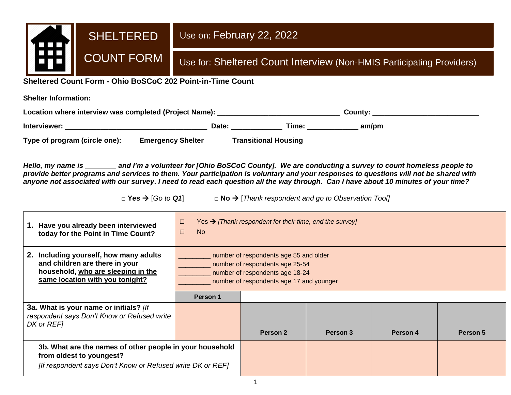

**Sheltered Count Form - Ohio BoSCoC 202 Point-in-Time Count**

**Shelter Information:**

| Location where interview was completed (Project Name): |                          |                             | County: |  |  |
|--------------------------------------------------------|--------------------------|-----------------------------|---------|--|--|
| Interviewer:                                           | Date:                    | Time:                       | am/pm   |  |  |
| Type of program (circle one):                          | <b>Emergency Shelter</b> | <b>Transitional Housing</b> |         |  |  |

*Hello, my name is and I'm a volunteer for [Ohio BoSCoC County]. We are conducting a survey to count homeless people to provide better programs and services to them. Your participation is voluntary and your responses to questions will not be shared with anyone not associated with our survey. I need to read each question all the way through. Can I have about 10 minutes of your time?* 

**□ Yes** → [*Go to Q1*] **□ No** → [*Thank respondent and go to Observation Tool]*

| 1. Have you already been interviewed<br>today for the Point in Time Count?                                                                         | Yes $\rightarrow$ [Thank respondent for their time, end the survey]<br>$\Box$<br><b>No</b><br>$\Box$                                                     |          |          |          |          |
|----------------------------------------------------------------------------------------------------------------------------------------------------|----------------------------------------------------------------------------------------------------------------------------------------------------------|----------|----------|----------|----------|
| 2. Including yourself, how many adults<br>and children are there in your<br>household, who are sleeping in the<br>same location with you tonight?  | number of respondents age 55 and older<br>number of respondents age 25-54<br>number of respondents age 18-24<br>number of respondents age 17 and younger |          |          |          |          |
|                                                                                                                                                    | Person 1                                                                                                                                                 |          |          |          |          |
| 3a. What is your name or initials? [If<br>respondent says Don't Know or Refused write<br>DK or REF1                                                |                                                                                                                                                          | Person 2 | Person 3 | Person 4 | Person 5 |
| 3b. What are the names of other people in your household<br>from oldest to youngest?<br>[If respondent says Don't Know or Refused write DK or REF] |                                                                                                                                                          |          |          |          |          |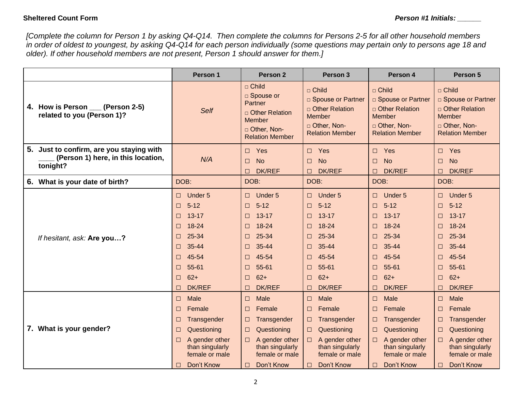### **Sheltered Count Form** *Person #1 Initials: \_\_\_\_\_\_*

*[Complete the column for Person 1 by asking Q4-Q14. Then complete the columns for Persons 2-5 for all other household members in order of oldest to youngest, by asking Q4-Q14 for each person individually (some questions may pertain only to persons age 18 and older). If other household members are not present, Person 1 should answer for them.]*

|                                                                                            | Person 1                                                                                                                                                                                             | Person <sub>2</sub>                                                                                                                                                           | Person 3                                                                                                                                                                                | Person 4                                                                                                                                                       | Person 5                                                                                                                                                                                                 |
|--------------------------------------------------------------------------------------------|------------------------------------------------------------------------------------------------------------------------------------------------------------------------------------------------------|-------------------------------------------------------------------------------------------------------------------------------------------------------------------------------|-----------------------------------------------------------------------------------------------------------------------------------------------------------------------------------------|----------------------------------------------------------------------------------------------------------------------------------------------------------------|----------------------------------------------------------------------------------------------------------------------------------------------------------------------------------------------------------|
| 4. How is Person (Person 2-5)<br>related to you (Person 1)?                                | Self                                                                                                                                                                                                 | □ Child<br>□ Spouse or<br>Partner<br>□ Other Relation<br>Member<br>□ Other, Non-<br><b>Relation Member</b>                                                                    | □ Child<br>□ Spouse or Partner<br>□ Other Relation<br><b>Member</b><br>□ Other, Non-<br><b>Relation Member</b>                                                                          | □ Child<br>□ Spouse or Partner<br>□ Other Relation<br><b>Member</b><br>□ Other, Non-<br><b>Relation Member</b>                                                 | $\Box$ Child<br>□ Spouse or Partner<br>□ Other Relation<br>Member<br>D Other, Non-<br><b>Relation Member</b>                                                                                             |
| 5. Just to confirm, are you staying with<br>(Person 1) here, in this location,<br>tonight? | N/A                                                                                                                                                                                                  | Yes<br>$\Box$<br><b>No</b><br>$\Box$<br><b>DK/REF</b><br>⊓                                                                                                                    | Yes<br>$\Box$<br><b>No</b><br>$\Box$<br>DK/REF<br>П                                                                                                                                     | Yes<br>П<br><b>No</b><br>$\Box$<br><b>DK/REF</b><br>П                                                                                                          | Yes<br>$\Box$<br>$\Box$<br><b>No</b><br><b>DK/REF</b><br>П                                                                                                                                               |
| 6. What is your date of birth?                                                             | DOB:                                                                                                                                                                                                 | DOB:                                                                                                                                                                          | DOB:                                                                                                                                                                                    | DOB:                                                                                                                                                           | DOB:                                                                                                                                                                                                     |
| If hesitant, ask: Are you?                                                                 | Under 5<br>$\Box$<br>$5 - 12$<br>$\Box$<br>$13 - 17$<br>$\Box$<br>18-24<br>$\Box$<br>25-34<br>$\Box$<br>35-44<br>$\Box$<br>45-54<br>$\Box$<br>55-61<br>$\Box$<br>$62+$<br>$\Box$<br>DK/REF<br>$\Box$ | Under 5<br>$\Box$<br>$5 - 12$<br>$\Box$<br>$13 - 17$<br>□<br>18-24<br>□<br>25-34<br>□<br>35-44<br>□<br>45-54<br>□<br>55-61<br>$\Box$<br>$62+$<br>$\Box$<br><b>DK/REF</b><br>□ | Under 5<br>$\Box$<br>$5 - 12$<br>$\Box$<br>$13 - 17$<br>$\Box$<br>18-24<br>$\Box$<br>25-34<br>□<br>35-44<br>П<br>45-54<br>П<br>55-61<br>$\Box$<br>$62+$<br>$\Box$<br><b>DK/REF</b><br>П | Under 5<br>□<br>$5 - 12$<br>□<br>$13 - 17$<br>□<br>18-24<br>□<br>25-34<br>□<br>35-44<br>□<br>45-54<br>□<br>55-61<br>□<br>$62+$<br>$\Box$<br><b>DK/REF</b><br>□ | Under 5<br>$\Box$<br>$5 - 12$<br>$\Box$<br>$13 - 17$<br>$\Box$<br>$18 - 24$<br>$\Box$<br>25-34<br>$\Box$<br>35-44<br>$\Box$<br>45-54<br>$\Box$<br>55-61<br>$\Box$<br>$62+$<br>$\Box$<br>DK/REF<br>$\Box$ |
| 7. What is your gender?                                                                    | <b>Male</b><br>$\Box$<br>Female<br>$\Box$<br>Transgender<br>$\Box$<br>Questioning<br>$\Box$<br>A gender other<br>$\Box$<br>than singularly<br>female or male<br>Don't Know<br>$\Box$                 | Male<br>$\Box$<br>Female<br>□<br>Transgender<br>□<br>Questioning<br>□<br>A gender other<br>$\Box$<br>than singularly<br>female or male<br>Don't Know<br>⊓                     | Male<br>$\Box$<br>Female<br>$\Box$<br>Transgender<br>$\Box$<br>Questioning<br>$\Box$<br>A gender other<br>$\Box$<br>than singularly<br>female or male<br>Don't Know<br>П                | Male<br>□<br>Female<br>□<br>Transgender<br>□<br>Questioning<br>□<br>A gender other<br>$\Box$<br>than singularly<br>female or male<br>Don't Know<br>⊓           | <b>Male</b><br>$\Box$<br>Female<br>$\Box$<br>Transgender<br>□<br>Questioning<br>$\Box$<br>A gender other<br>than singularly<br>female or male<br>Don't Know<br>$\Box$                                    |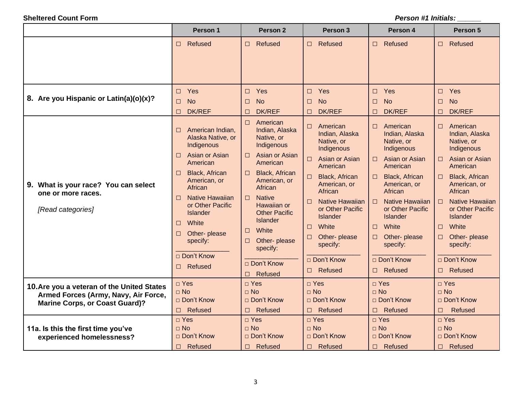|                                                                                                                             | Person 1                                                                                                                                                                                                                                                                                                                    | Person <sub>2</sub>                                                                                                                                                                                                                                                                                                                | <b>Person 3</b>                                                                                                                                                                                                                                                                                                                             | Person 4                                                                                                                                                                                                                                                                                                                                    | Person 5                                                                                                                                                                                                                                                                                                                   |
|-----------------------------------------------------------------------------------------------------------------------------|-----------------------------------------------------------------------------------------------------------------------------------------------------------------------------------------------------------------------------------------------------------------------------------------------------------------------------|------------------------------------------------------------------------------------------------------------------------------------------------------------------------------------------------------------------------------------------------------------------------------------------------------------------------------------|---------------------------------------------------------------------------------------------------------------------------------------------------------------------------------------------------------------------------------------------------------------------------------------------------------------------------------------------|---------------------------------------------------------------------------------------------------------------------------------------------------------------------------------------------------------------------------------------------------------------------------------------------------------------------------------------------|----------------------------------------------------------------------------------------------------------------------------------------------------------------------------------------------------------------------------------------------------------------------------------------------------------------------------|
|                                                                                                                             | Refused<br>$\Box$                                                                                                                                                                                                                                                                                                           | Refused<br>$\Box$                                                                                                                                                                                                                                                                                                                  | Refused<br>$\Box$                                                                                                                                                                                                                                                                                                                           | Refused<br>$\Box$                                                                                                                                                                                                                                                                                                                           | Refused<br>$\Box$                                                                                                                                                                                                                                                                                                          |
| 8. Are you Hispanic or Latin(a)(o)(x)?                                                                                      | $\square$ Yes<br><b>No</b><br>$\Box$<br><b>DK/REF</b><br>□                                                                                                                                                                                                                                                                  | Yes<br>$\Box$<br><b>No</b><br>$\Box$<br><b>DK/REF</b><br>□                                                                                                                                                                                                                                                                         | Yes<br>$\Box$<br><b>No</b><br>$\Box$<br><b>DK/REF</b><br>□                                                                                                                                                                                                                                                                                  | Yes<br>$\Box$<br><b>No</b><br>$\Box$<br><b>DK/REF</b><br>$\Box$                                                                                                                                                                                                                                                                             | Yes<br>$\Box$<br><b>No</b><br>$\Box$<br><b>DK/REF</b><br>□                                                                                                                                                                                                                                                                 |
| 9. What is your race? You can select<br>one or more races.<br>[Read categories]                                             | American Indian,<br>□<br>Alaska Native, or<br>Indigenous<br>Asian or Asian<br>□<br>American<br>Black, African<br>$\Box$<br>American, or<br>African<br><b>Native Hawaiian</b><br>$\Box$<br>or Other Pacific<br><b>Islander</b><br>White<br>$\Box$<br>Other-please<br>$\Box$<br>specify:<br>□ Don't Know<br>Refused<br>$\Box$ | $\Box$<br>American<br>Indian, Alaska<br>Native, or<br>Indigenous<br>Asian or Asian<br>П.<br>American<br>Black, African<br>$\Box$<br>American, or<br>African<br><b>Native</b><br>$\Box$<br>Hawaiian or<br><b>Other Pacific</b><br>Islander<br>White<br>$\Box$<br>Other-please<br>0<br>specify:<br>□ Don't Know<br>Refused<br>$\Box$ | American<br>$\Box$<br>Indian, Alaska<br>Native, or<br>Indigenous<br>Asian or Asian<br>$\Box$<br>American<br><b>Black, African</b><br>□<br>American, or<br>African<br><b>Native Hawaiian</b><br>П<br>or Other Pacific<br><b>Islander</b><br>White<br>$\Box$<br>Other- please<br>$\Box$<br>specify:<br>$\Box$ Don't Know<br>Refused<br>$\Box$ | American<br>$\Box$<br>Indian, Alaska<br>Native, or<br>Indigenous<br>Asian or Asian<br>$\Box$<br>American<br><b>Black, African</b><br>$\Box$<br>American, or<br>African<br><b>Native Hawaiian</b><br>Π.<br>or Other Pacific<br><b>Islander</b><br>White<br>$\Box$<br>Other-please<br>$\Box$<br>specify:<br>□ Don't Know<br>Refused<br>$\Box$ | American<br>$\Box$<br>Indian, Alaska<br>Native, or<br>Indigenous<br>Asian or Asian<br>П<br>American<br>Black, African<br>□<br>American, or<br>African<br><b>Native Hawaiian</b><br>$\Box$<br>or Other Pacific<br><b>Islander</b><br>White<br>$\Box$<br>Other- please<br>□<br>specify:<br>□ Don't Know<br>Refused<br>$\Box$ |
| 10. Are you a veteran of the United States<br>Armed Forces (Army, Navy, Air Force,<br><b>Marine Corps, or Coast Guard)?</b> | □ Yes<br>$\Box$ No<br>□ Don't Know<br>Refused<br>$\Box$                                                                                                                                                                                                                                                                     | $\Box$ Yes<br>$\Box$ No<br>□ Don't Know<br>Refused<br>$\Box$                                                                                                                                                                                                                                                                       | □ Yes<br>$\Box$ No<br>□ Don't Know<br>Refused<br>$\Box$                                                                                                                                                                                                                                                                                     | $\Box$ Yes<br>$\Box$ No<br>□ Don't Know<br><b>Refused</b><br>$\Box$                                                                                                                                                                                                                                                                         | □ Yes<br>$\Box$ No<br>□ Don't Know<br>Refused<br>$\Box$                                                                                                                                                                                                                                                                    |
| 11a. Is this the first time you've<br>experienced homelessness?                                                             | $\square$ Yes<br>$\Box$ No<br>□ Don't Know<br>Refused<br>$\Box$                                                                                                                                                                                                                                                             | $\Box$ Yes<br>$\Box$ No<br>□ Don't Know<br>Refused<br>$\Box$                                                                                                                                                                                                                                                                       | □ Yes<br>$\Box$ No<br>$\Box$ Don't Know<br>Refused<br>$\Box$                                                                                                                                                                                                                                                                                | $\Box$ Yes<br>$\Box$ No<br>□ Don't Know<br>Refused<br>$\Box$                                                                                                                                                                                                                                                                                | $\Box$ Yes<br>$\Box$ No<br>□ Don't Know<br>Refused<br>$\Box$                                                                                                                                                                                                                                                               |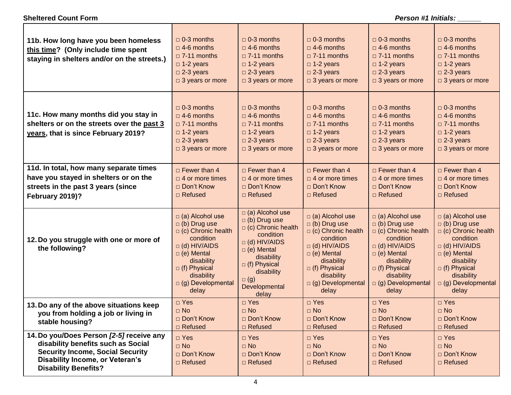#### **11b. How long have you been homeless this time? (Only include time spent staying in shelters and/or on the streets.) □** 0-3 months  $\Box$  4-6 months □ 7-11 months **□** 1-2 years **□** 2-3 years **□** 3 years or more □ 0-3 months  $\Box$  4-6 months □ 7-11 months **□** 1-2 years **□** 2-3 years **□** 3 years or more □ 0-3 months □ 4-6 months □ 7-11 months **□** 1-2 years **□** 2-3 years **□** 3 years or more **□** 0-3 months **□** 4-6 months □ 7-11 months **□** 1-2 years **□** 2-3 years **□** 3 years or more □ 0-3 months  $\Box$  4-6 months □ 7-11 months **□** 1-2 years **□** 2-3 years **□** 3 years or more **11c. How many months did you stay in shelters or on the streets over the past 3 years, that is since February 2019?**  □ 0-3 months  $\Box$  4-6 months **□** 7-11 months **□** 1-2 years **□** 2-3 years **□** 3 years or more □ 0-3 months  $\Box$  4-6 months □ 7-11 months **□** 1-2 years **□** 2-3 years **□** 3 years or more □ 0-3 months  $\Box$  4-6 months **□** 7-11 months **□** 1-2 years **□** 2-3 years **□** 3 years or more **□** 0-3 months **□** 4-6 months □ 7-11 months **□** 1-2 years **□** 2-3 years **□** 3 years or more □ 0-3 months **□** 4-6 months □ 7-11 months **□** 1-2 years **□** 2-3 years **□** 3 years or more **11d. In total, how many separate times have you stayed in shelters or on the streets in the past 3 years (since February 2019)?** □ Fewer than 4 □ 4 or more times **□** Don't Know **□** Refused □ Fewer than 4 □ 4 or more times **□** Don't Know **□** Refused □ Fewer than 4 □ 4 or more times **□** Don't Know **□** Refused □ Fewer than 4 □ 4 or more times **□** Don't Know **□** Refused □ Fewer than 4 □ 4 or more times **□** Don't Know **□** Refused **12.Do you struggle with one or more of the following?**  $\Box$  (a) Alcohol use  $\Box$  (b) Drug use  $\Box$  (c) Chronic health condition  $\Box$  (d) HIV/AIDS  $\Box$  (e) Mental disability  $\Box$  (f) Physical disability □ (g) Developmental delay  $\Box$  (a) Alcohol use  $\Box$  (b) Drug use  $\Box$  (c) Chronic health condition  $\Box$  (d) HIV/AIDS  $\Box$  (e) Mental disability  $\Box$  (f) Physical disability  $\Box$  (g) **Developmental**  delay  $\Box$  (a) Alcohol use  $\Box$  (b) Drug use  $\Box$  (c) Chronic health condition  $\Box$  (d) HIV/AIDS  $\Box$  (e) Mental disability  $\Box$  (f) Physical disability  $\Box$  (g) Developmental delay  $\Box$  (a) Alcohol use  $\Box$  (b) Drug use  $\Box$  (c) Chronic health condition  $\Box$  (d) HIV/AIDS  $\Box$  (e) Mental disability  $\Box$  (f) Physical disability □ (g) Developmental delay  $\Box$  (a) Alcohol use  $\Box$  (b) Drug use  $\Box$  (c) Chronic health condition  $\Box$  (d) HIV/AIDS  $\Box$  (e) Mental disability □ (f) Physical disability  $\Box$  (g) Developmental delay **13.Do any of the above situations keep you from holding a job or living in stable housing? □** Yes **□** No □ Don't Know **□** Refused **□** Yes **□** No **□** Don't Know **□** Refused **□** Yes **□** No **□** Don't Know **□** Refused **□** Yes **□** No **□** Don't Know **□** Refused **□** Yes **□** No **□** Don't Know **□** Refused **14.Do you/Does Person** *[2-5]* **receive any disability benefits such as Social Security Income, Social Security Disability Income, or Veteran's Disability Benefits? □** Yes **□** No **□** Don't Know **□** Refused **□** Yes **□** No **□** Don't Know **□** Refused **□** Yes **□** No **□** Don't Know **□** Refused **□** Yes **□** No **□** Don't Know **□** Refused **□** Yes **□** No **□** Don't Know **□** Refused

#### **Sheltered Count Form** *Person #1 Initials: \_\_\_\_\_\_*